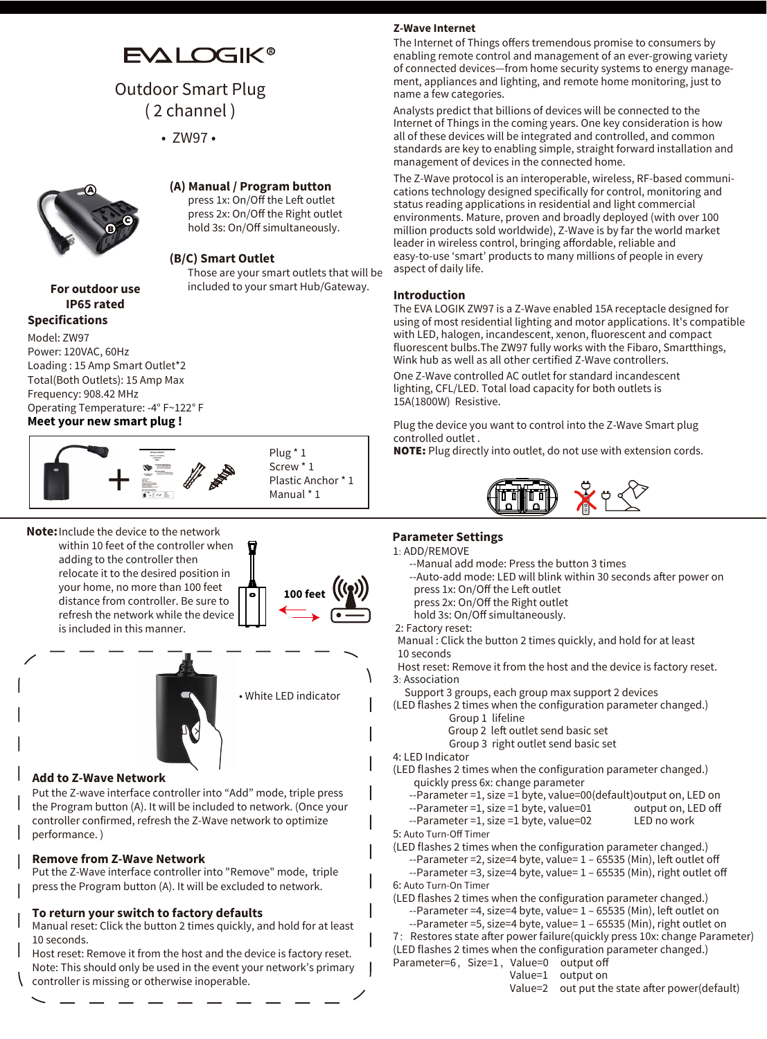# **EVALOGIK®**

# Outdoor Smart Plug ( 2 channel )

• ZW97 •



#### **(A) Manual / Program button**

press 1x: On/Off the Left outlet press 2x: On/Off the Right outlet hold 3s: On/Off simultaneously.

#### **(B/C) Smart Outlet**

Those are your smart outlets that will be included to your smart Hub/Gateway.

## **For outdoor use IP65 rated**

**Specifications Meet your new smart plug !** Model: ZW97 Power: 120VAC, 60Hz Loading : 15 Amp Smart Outlet\*2 Total(Both Outlets): 15 Amp Max Frequency: 908.42 MHz Operating Temperature: -4° F~122° F

# +



**Note:** Include the device to the network within 10 feet of the controller when adding to the controller then relocate it to the desired position in your home, no more than 100 feet distance from controller. Be sure to refresh the network while the device

is included in this manner.





#### **Add to Z-Wave Network**

Put the Z-wave interface controller into "Add" mode, triple press the Program button (A). It will be included to network. (Once your controller confirmed, refresh the Z-Wave network to optimize performance. )

#### **Remove from Z-Wave Network**

Put the Z-Wave interface controller into "Remove" mode, triple press the Program button (A). It will be excluded to network.

#### **To return your switch to factory defaults**

Manual reset: Click the button 2 times quickly, and hold for at least 10 seconds.

Host reset: Remove it from the host and the device is factory reset. Note: This should only be used in the event your network's primary controller is missing or otherwise inoperable.

### **Z-Wave Internet**

The Internet of Things offers tremendous promise to consumers by enabling remote control and management of an ever-growing variety of connected devices—from home security systems to energy management, appliances and lighting, and remote home monitoring, just to name a few categories.

Analysts predict that billions of devices will be connected to the Internet of Things in the coming years. One key consideration is how all of these devices will be integrated and controlled, and common standards are key to enabling simple, straight forward installation and management of devices in the connected home.

The Z-Wave protocol is an interoperable, wireless, RF-based communications technology designed specifically for control, monitoring and status reading applications in residential and light commercial environments. Mature, proven and broadly deployed (with over 100 million products sold worldwide), Z-Wave is by far the world market leader in wireless control, bringing affordable, reliable and easy-to-use 'smart' products to many millions of people in every aspect of daily life.

#### **Introduction**

The EVA LOGIK ZW97 is a Z-Wave enabled 15A receptacle designed for using of most residential lighting and motor applications. It's compatible with LED, halogen, incandescent, xenon, fluorescent and compact fluorescent bulbs.The ZW97 fully works with the Fibaro, Smartthings, Wink hub as well as all other certified Z-Wave controllers.

One Z-Wave controlled AC outlet for standard incandescent lighting, CFL/LED. Total load capacity for both outlets is 15A(1800W) Resistive.

Plug the device you want to control into the Z-Wave Smart plug controlled outlet .

NOTE: Plug directly into outlet, do not use with extension cords.



#### **Parameter Settings**

- 1: ADD/REMOVE
	- --Manual add mode: Press the button 3 times
	- --Auto-add mode: LED will blink within 30 seconds after power on
	- press 1x: On/Off the Left outlet
	- press 2x: On/Off the Right outlet
	- hold 3s: On/Off simultaneously.
- 2: Factory reset:
- Manual : Click the button 2 times quickly, and hold for at least 10 seconds

 Host reset: Remove it from the host and the device is factory reset. 3: Association

- Support 3 groups, each group max support 2 devices
- (LED flashes 2 times when the configuration parameter changed.) Group 1 lifeline
	- Group 2 left outlet send basic set
	- Group 3 right outlet send basic set
- 4: LED Indicator
- (LED flashes 2 times when the configuration parameter changed.) quickly press 6x: change parameter
	- --Parameter =1, size =1 byte, value=00(default)output on, LED on<br>--Parameter =1, size =1 byte, value=01 output on, LED off
	- $-$ -Parameter =1, size =1 byte, value=01
- --Parameter =1, size =1 byte, value=02 LED no work 5: Auto Turn-Off Timer
- (LED flashes 2 times when the configuration parameter changed.) --Parameter =2, size=4 byte, value= 1 – 65535 (Min), left outlet off --Parameter =3, size=4 byte, value= 1 – 65535 (Min), right outlet off
- 6: Auto Turn-On Timer
- (LED flashes 2 times when the configuration parameter changed.) --Parameter =4, size=4 byte, value= 1 – 65535 (Min), left outlet on
	- --Parameter =5, size=4 byte, value= 1 65535 (Min), right outlet on
- 7: Restores state after power failure(quickly press 10x: change Parameter)
- (LED flashes 2 times when the configuration parameter changed.)
- Parameter=6, Size=1, Value=0 output off Value=1 output on

Value=2 out put the state after power(default)